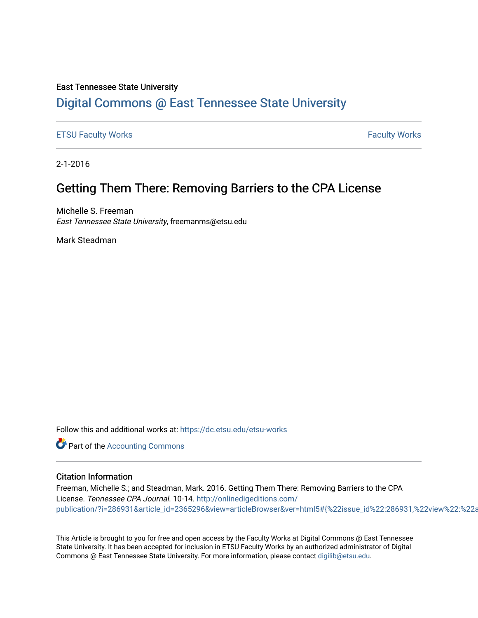### East Tennessee State University

## [Digital Commons @ East Tennessee State University](https://dc.etsu.edu/)

[ETSU Faculty Works](https://dc.etsu.edu/etsu-works) [Faculty Works](https://dc.etsu.edu/faculty-works) 

2-1-2016

## Getting Them There: Removing Barriers to the CPA License

Michelle S. Freeman East Tennessee State University, freemanms@etsu.edu

Mark Steadman

Follow this and additional works at: [https://dc.etsu.edu/etsu-works](https://dc.etsu.edu/etsu-works?utm_source=dc.etsu.edu%2Fetsu-works%2F5775&utm_medium=PDF&utm_campaign=PDFCoverPages) 

**Part of the [Accounting Commons](http://network.bepress.com/hgg/discipline/625?utm_source=dc.etsu.edu%2Fetsu-works%2F5775&utm_medium=PDF&utm_campaign=PDFCoverPages)** 

#### Citation Information

Freeman, Michelle S.; and Steadman, Mark. 2016. Getting Them There: Removing Barriers to the CPA License. Tennessee CPA Journal. 10-14. [http://onlinedigeditions.com/](http://onlinedigeditions.com/publication/?i=286931&article_id=2365296&view=articleBrowser&ver=html5#{%22issue_id%22:286931,%22view%22:%22articleBrowser%22,%22article_id%22:%222365296%22}) publication/?i=286931&article\_id=2365296&view=articleBrowser&ver=html5#{%22issue\_id%22:286931,%22view%22:%22a

This Article is brought to you for free and open access by the Faculty Works at Digital Commons @ East Tennessee State University. It has been accepted for inclusion in ETSU Faculty Works by an authorized administrator of Digital Commons @ East Tennessee State University. For more information, please contact [digilib@etsu.edu.](mailto:digilib@etsu.edu)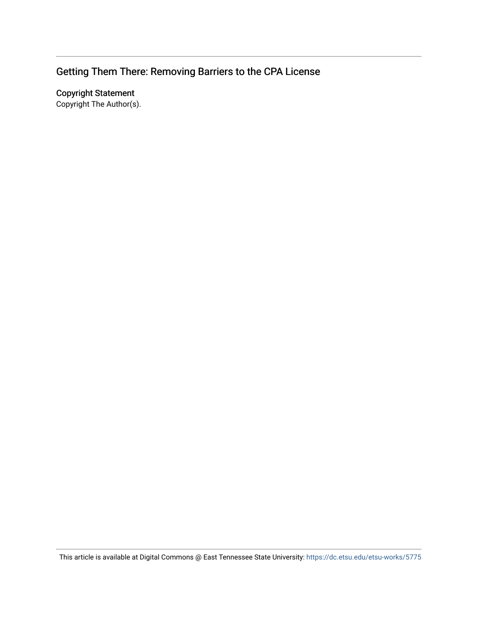# Getting Them There: Removing Barriers to the CPA License

Copyright Statement

Copyright The Author(s).

This article is available at Digital Commons @ East Tennessee State University: <https://dc.etsu.edu/etsu-works/5775>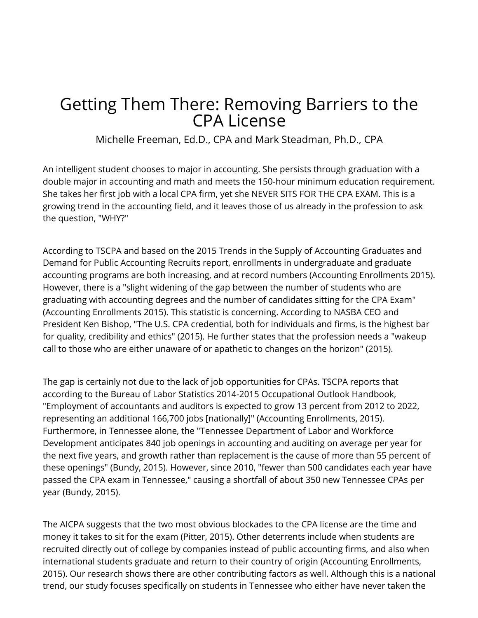# Getting Them There: Removing Barriers to the CPA License

Michelle Freeman, Ed.D., CPA and Mark Steadman, Ph.D., CPA

An intelligent student chooses to major in accounting. She persists through graduation with a double major in accounting and math and meets the 150-hour minimum education requirement. She takes her first job with a local CPA firm, yet she NEVER SITS FOR THE CPA EXAM. This is a growing trend in the accounting field, and it leaves those of us already in the profession to ask the question, "WHY?"

According to TSCPA and based on the 2015 Trends in the Supply of Accounting Graduates and Demand for Public Accounting Recruits report, enrollments in undergraduate and graduate accounting programs are both increasing, and at record numbers (Accounting Enrollments 2015). However, there is a "slight widening of the gap between the number of students who are graduating with accounting degrees and the number of candidates sitting for the CPA Exam" (Accounting Enrollments 2015). This statistic is concerning. According to NASBA CEO and President Ken Bishop, "The U.S. CPA credential, both for individuals and firms, is the highest bar for quality, credibility and ethics" (2015). He further states that the profession needs a "wakeup call to those who are either unaware of or apathetic to changes on the horizon" (2015).

The gap is certainly not due to the lack of job opportunities for CPAs. TSCPA reports that according to the Bureau of Labor Statistics 2014-2015 Occupational Outlook Handbook, "Employment of accountants and auditors is expected to grow 13 percent from 2012 to 2022, representing an additional 166,700 jobs [nationally]" (Accounting Enrollments, 2015). Furthermore, in Tennessee alone, the "Tennessee Department of Labor and Workforce Development anticipates 840 job openings in accounting and auditing on average per year for the next five years, and growth rather than replacement is the cause of more than 55 percent of these openings" (Bundy, 2015). However, since 2010, "fewer than 500 candidates each year have passed the CPA exam in Tennessee," causing a shortfall of about 350 new Tennessee CPAs per year (Bundy, 2015).

The AICPA suggests that the two most obvious blockades to the CPA license are the time and money it takes to sit for the exam (Pitter, 2015). Other deterrents include when students are recruited directly out of college by companies instead of public accounting firms, and also when international students graduate and return to their country of origin (Accounting Enrollments, 2015). Our research shows there are other contributing factors as well. Although this is a national trend, our study focuses specifically on students in Tennessee who either have never taken the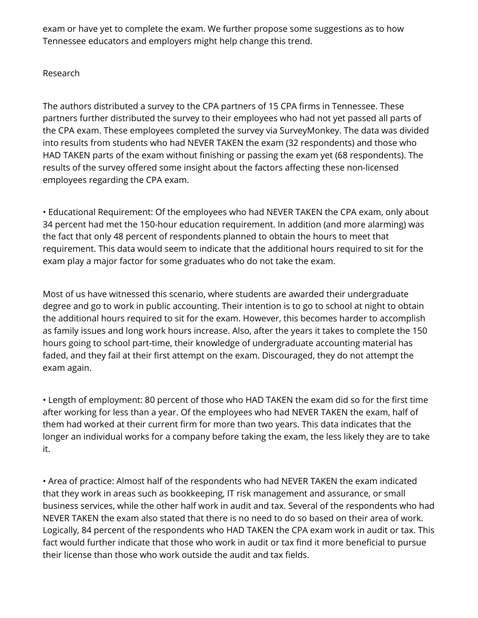exam or have yet to complete the exam. We further propose some suggestions as to how Tennessee educators and employers might help change this trend.

### Research

The authors distributed a survey to the CPA partners of 15 CPA firms in Tennessee. These partners further distributed the survey to their employees who had not yet passed all parts of the CPA exam. These employees completed the survey via SurveyMonkey. The data was divided into results from students who had NEVER TAKEN the exam (32 respondents) and those who HAD TAKEN parts of the exam without finishing or passing the exam yet (68 respondents). The results of the survey offered some insight about the factors affecting these non-licensed employees regarding the CPA exam.

• Educational Requirement: Of the employees who had NEVER TAKEN the CPA exam, only about 34 percent had met the 150-hour education requirement. In addition (and more alarming) was the fact that only 48 percent of respondents planned to obtain the hours to meet that requirement. This data would seem to indicate that the additional hours required to sit for the exam play a major factor for some graduates who do not take the exam.

Most of us have witnessed this scenario, where students are awarded their undergraduate degree and go to work in public accounting. Their intention is to go to school at night to obtain the additional hours required to sit for the exam. However, this becomes harder to accomplish as family issues and long work hours increase. Also, after the years it takes to complete the 150 hours going to school part-time, their knowledge of undergraduate accounting material has faded, and they fail at their first attempt on the exam. Discouraged, they do not attempt the exam again.

• Length of employment: 80 percent of those who HAD TAKEN the exam did so for the first time after working for less than a year. Of the employees who had NEVER TAKEN the exam, half of them had worked at their current firm for more than two years. This data indicates that the longer an individual works for a company before taking the exam, the less likely they are to take it.

• Area of practice: Almost half of the respondents who had NEVER TAKEN the exam indicated that they work in areas such as bookkeeping, IT risk management and assurance, or small business services, while the other half work in audit and tax. Several of the respondents who had NEVER TAKEN the exam also stated that there is no need to do so based on their area of work. Logically, 84 percent of the respondents who HAD TAKEN the CPA exam work in audit or tax. This fact would further indicate that those who work in audit or tax find it more beneficial to pursue their license than those who work outside the audit and tax fields.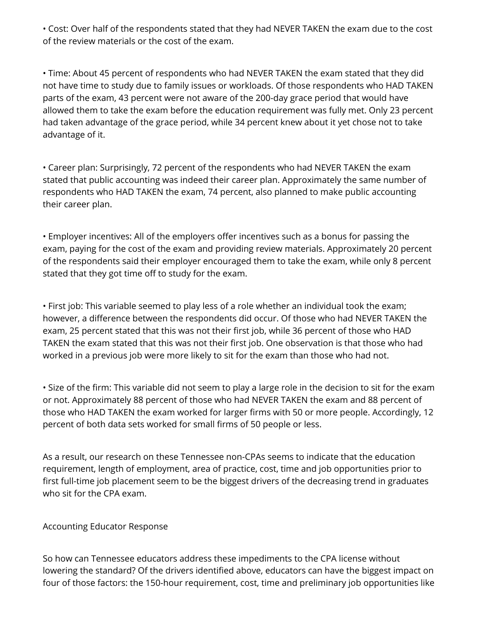• Cost: Over half of the respondents stated that they had NEVER TAKEN the exam due to the cost of the review materials or the cost of the exam.

• Time: About 45 percent of respondents who had NEVER TAKEN the exam stated that they did not have time to study due to family issues or workloads. Of those respondents who HAD TAKEN parts of the exam, 43 percent were not aware of the 200-day grace period that would have allowed them to take the exam before the education requirement was fully met. Only 23 percent had taken advantage of the grace period, while 34 percent knew about it yet chose not to take advantage of it.

• Career plan: Surprisingly, 72 percent of the respondents who had NEVER TAKEN the exam stated that public accounting was indeed their career plan. Approximately the same number of respondents who HAD TAKEN the exam, 74 percent, also planned to make public accounting their career plan.

• Employer incentives: All of the employers offer incentives such as a bonus for passing the exam, paying for the cost of the exam and providing review materials. Approximately 20 percent of the respondents said their employer encouraged them to take the exam, while only 8 percent stated that they got time off to study for the exam.

• First job: This variable seemed to play less of a role whether an individual took the exam; however, a difference between the respondents did occur. Of those who had NEVER TAKEN the exam, 25 percent stated that this was not their first job, while 36 percent of those who HAD TAKEN the exam stated that this was not their first job. One observation is that those who had worked in a previous job were more likely to sit for the exam than those who had not.

• Size of the firm: This variable did not seem to play a large role in the decision to sit for the exam or not. Approximately 88 percent of those who had NEVER TAKEN the exam and 88 percent of those who HAD TAKEN the exam worked for larger firms with 50 or more people. Accordingly, 12 percent of both data sets worked for small firms of 50 people or less.

As a result, our research on these Tennessee non-CPAs seems to indicate that the education requirement, length of employment, area of practice, cost, time and job opportunities prior to first full-time job placement seem to be the biggest drivers of the decreasing trend in graduates who sit for the CPA exam.

### Accounting Educator Response

So how can Tennessee educators address these impediments to the CPA license without lowering the standard? Of the drivers identified above, educators can have the biggest impact on four of those factors: the 150-hour requirement, cost, time and preliminary job opportunities like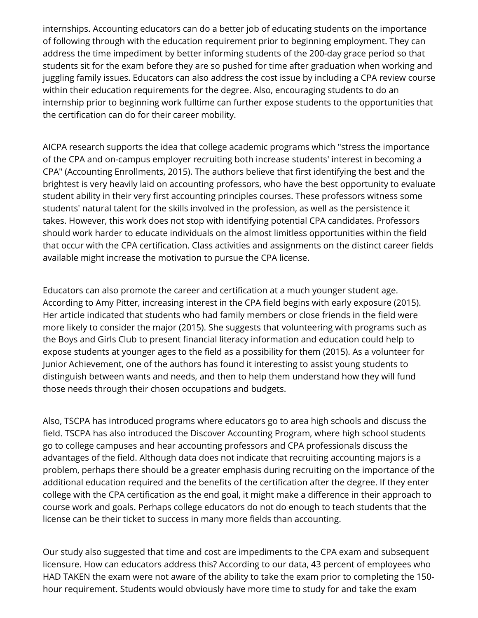internships. Accounting educators can do a better job of educating students on the importance of following through with the education requirement prior to beginning employment. They can address the time impediment by better informing students of the 200-day grace period so that students sit for the exam before they are so pushed for time after graduation when working and juggling family issues. Educators can also address the cost issue by including a CPA review course within their education requirements for the degree. Also, encouraging students to do an internship prior to beginning work fulltime can further expose students to the opportunities that the certification can do for their career mobility.

AICPA research supports the idea that college academic programs which "stress the importance of the CPA and on-campus employer recruiting both increase students' interest in becoming a CPA" (Accounting Enrollments, 2015). The authors believe that first identifying the best and the brightest is very heavily laid on accounting professors, who have the best opportunity to evaluate student ability in their very first accounting principles courses. These professors witness some students' natural talent for the skills involved in the profession, as well as the persistence it takes. However, this work does not stop with identifying potential CPA candidates. Professors should work harder to educate individuals on the almost limitless opportunities within the field that occur with the CPA certification. Class activities and assignments on the distinct career fields available might increase the motivation to pursue the CPA license.

Educators can also promote the career and certification at a much younger student age. According to Amy Pitter, increasing interest in the CPA field begins with early exposure (2015). Her article indicated that students who had family members or close friends in the field were more likely to consider the major (2015). She suggests that volunteering with programs such as the Boys and Girls Club to present financial literacy information and education could help to expose students at younger ages to the field as a possibility for them (2015). As a volunteer for Junior Achievement, one of the authors has found it interesting to assist young students to distinguish between wants and needs, and then to help them understand how they will fund those needs through their chosen occupations and budgets.

Also, TSCPA has introduced programs where educators go to area high schools and discuss the field. TSCPA has also introduced the Discover Accounting Program, where high school students go to college campuses and hear accounting professors and CPA professionals discuss the advantages of the field. Although data does not indicate that recruiting accounting majors is a problem, perhaps there should be a greater emphasis during recruiting on the importance of the additional education required and the benefits of the certification after the degree. If they enter college with the CPA certification as the end goal, it might make a difference in their approach to course work and goals. Perhaps college educators do not do enough to teach students that the license can be their ticket to success in many more fields than accounting.

Our study also suggested that time and cost are impediments to the CPA exam and subsequent licensure. How can educators address this? According to our data, 43 percent of employees who HAD TAKEN the exam were not aware of the ability to take the exam prior to completing the 150 hour requirement. Students would obviously have more time to study for and take the exam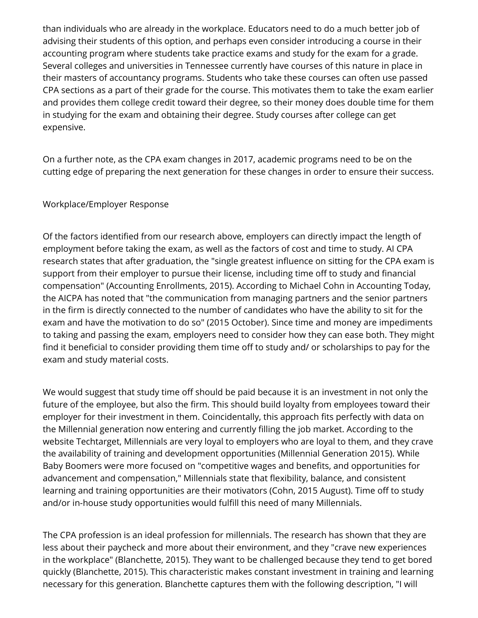than individuals who are already in the workplace. Educators need to do a much better job of advising their students of this option, and perhaps even consider introducing a course in their accounting program where students take practice exams and study for the exam for a grade. Several colleges and universities in Tennessee currently have courses of this nature in place in their masters of accountancy programs. Students who take these courses can often use passed CPA sections as a part of their grade for the course. This motivates them to take the exam earlier and provides them college credit toward their degree, so their money does double time for them in studying for the exam and obtaining their degree. Study courses after college can get expensive.

On a further note, as the CPA exam changes in 2017, academic programs need to be on the cutting edge of preparing the next generation for these changes in order to ensure their success.

### Workplace/Employer Response

Of the factors identified from our research above, employers can directly impact the length of employment before taking the exam, as well as the factors of cost and time to study. AI CPA research states that after graduation, the "single greatest influence on sitting for the CPA exam is support from their employer to pursue their license, including time off to study and financial compensation" (Accounting Enrollments, 2015). According to Michael Cohn in Accounting Today, the AICPA has noted that "the communication from managing partners and the senior partners in the firm is directly connected to the number of candidates who have the ability to sit for the exam and have the motivation to do so" (2015 October). Since time and money are impediments to taking and passing the exam, employers need to consider how they can ease both. They might find it beneficial to consider providing them time off to study and/ or scholarships to pay for the exam and study material costs.

We would suggest that study time off should be paid because it is an investment in not only the future of the employee, but also the firm. This should build loyalty from employees toward their employer for their investment in them. Coincidentally, this approach fits perfectly with data on the Millennial generation now entering and currently filling the job market. According to the website Techtarget, Millennials are very loyal to employers who are loyal to them, and they crave the availability of training and development opportunities (Millennial Generation 2015). While Baby Boomers were more focused on "competitive wages and benefits, and opportunities for advancement and compensation," Millennials state that flexibility, balance, and consistent learning and training opportunities are their motivators (Cohn, 2015 August). Time off to study and/or in-house study opportunities would fulfill this need of many Millennials.

The CPA profession is an ideal profession for millennials. The research has shown that they are less about their paycheck and more about their environment, and they "crave new experiences in the workplace" (Blanchette, 2015). They want to be challenged because they tend to get bored quickly (Blanchette, 2015). This characteristic makes constant investment in training and learning necessary for this generation. Blanchette captures them with the following description, "I will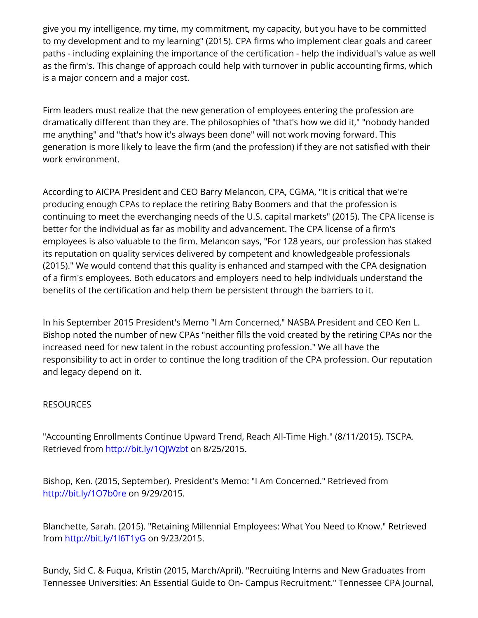give you my intelligence, my time, my commitment, my capacity, but you have to be committed to my development and to my learning" (2015). CPA firms who implement clear goals and career paths - including explaining the importance of the certification - help the individual's value as well as the firm's. This change of approach could help with turnover in public accounting firms, which is a major concern and a major cost.

Firm leaders must realize that the new generation of employees entering the profession are dramatically different than they are. The philosophies of "that's how we did it," "nobody handed me anything" and "that's how it's always been done" will not work moving forward. This generation is more likely to leave the firm (and the profession) if they are not satisfied with their work environment.

According to AICPA President and CEO Barry Melancon, CPA, CGMA, "It is critical that we're producing enough CPAs to replace the retiring Baby Boomers and that the profession is continuing to meet the everchanging needs of the U.S. capital markets" (2015). The CPA license is better for the individual as far as mobility and advancement. The CPA license of a firm's employees is also valuable to the firm. Melancon says, "For 128 years, our profession has staked its reputation on quality services delivered by competent and knowledgeable professionals (2015)." We would contend that this quality is enhanced and stamped with the CPA designation of a firm's employees. Both educators and employers need to help individuals understand the benefits of the certification and help them be persistent through the barriers to it.

In his September 2015 President's Memo "I Am Concerned," NASBA President and CEO Ken L. Bishop noted the number of new CPAs "neither fills the void created by the retiring CPAs nor the increased need for new talent in the robust accounting profession." We all have the responsibility to act in order to continue the long tradition of the CPA profession. Our reputation and legacy depend on it.

## **RESOURCES**

"Accounting Enrollments Continue Upward Trend, Reach All-Time High." (8/11/2015). TSCPA. Retrieved from http://bit.ly/1QJWzbt on 8/25/2015.

Bishop, Ken. (2015, September). President's Memo: "I Am Concerned." Retrieved from <http://bit.ly/1O7b0re> on 9/29/2015.

Blanchette, Sarah. (2015). "Retaining Millennial Employees: What You Need to Know." Retrieved fromhttp://bit.ly/1l6T1yG on 9/23/2015.

Bundy, Sid C. & Fuqua, Kristin (2015, March/April). "Recruiting Interns and New Graduates from Tennessee Universities: An Essential Guide to On- Campus Recruitment." Tennessee CPA Journal,